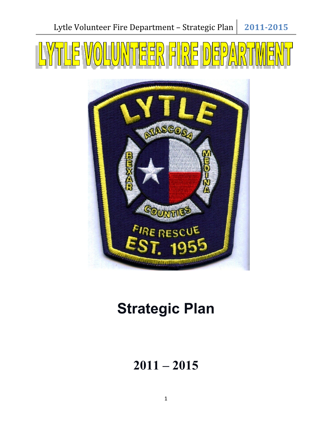Lytle Volunteer Fire Department – Strategic Plan | 2011-2015





# **Strategic Plan**

# **2011 – 2015**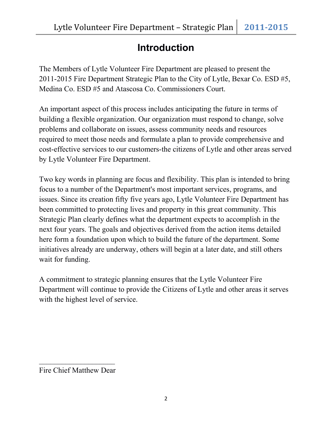# **Introduction**

The Members of Lytle Volunteer Fire Department are pleased to present the 2011-2015 Fire Department Strategic Plan to the City of Lytle, Bexar Co. ESD #5, Medina Co. ESD #5 and Atascosa Co. Commissioners Court.

An important aspect of this process includes anticipating the future in terms of building a flexible organization. Our organization must respond to change, solve problems and collaborate on issues, assess community needs and resources required to meet those needs and formulate a plan to provide comprehensive and cost-effective services to our customers-the citizens of Lytle and other areas served by Lytle Volunteer Fire Department.

Two key words in planning are focus and flexibility. This plan is intended to bring focus to a number of the Department's most important services, programs, and issues. Since its creation fifty five years ago, Lytle Volunteer Fire Department has been committed to protecting lives and property in this great community. This Strategic Plan clearly defines what the department expects to accomplish in the next four years. The goals and objectives derived from the action items detailed here form a foundation upon which to build the future of the department. Some initiatives already are underway, others will begin at a later date, and still others wait for funding.

A commitment to strategic planning ensures that the Lytle Volunteer Fire Department will continue to provide the Citizens of Lytle and other areas it serves with the highest level of service.

 $\mathcal{L}_\text{max}$  , where  $\mathcal{L}_\text{max}$  , we have the set of  $\mathcal{L}_\text{max}$ Fire Chief Matthew Dear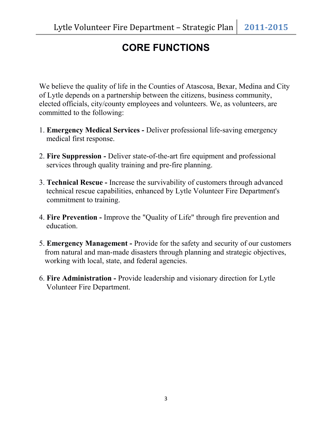# **CORE FUNCTIONS**

We believe the quality of life in the Counties of Atascosa, Bexar, Medina and City of Lytle depends on a partnership between the citizens, business community, elected officials, city/county employees and volunteers. We, as volunteers, are committed to the following:

- 1. **Emergency Medical Services** Deliver professional life-saving emergency medical first response.
- 2. **Fire Suppression** Deliver state-of-the-art fire equipment and professional services through quality training and pre-fire planning.
- 3. **Technical Rescue** Increase the survivability of customers through advanced technical rescue capabilities, enhanced by Lytle Volunteer Fire Department's commitment to training.
- 4. **Fire Prevention** Improve the "Quality of Life" through fire prevention and education.
- 5. **Emergency Management** Provide for the safety and security of our customers from natural and man-made disasters through planning and strategic objectives, working with local, state, and federal agencies.
- 6. **Fire Administration** Provide leadership and visionary direction for Lytle Volunteer Fire Department.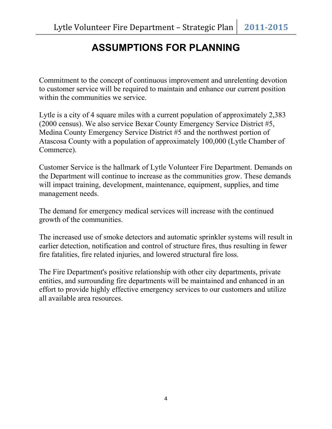# **ASSUMPTIONS FOR PLANNING**

Commitment to the concept of continuous improvement and unrelenting devotion to customer service will be required to maintain and enhance our current position within the communities we service.

Lytle is a city of 4 square miles with a current population of approximately 2,383 (2000 census). We also service Bexar County Emergency Service District #5, Medina County Emergency Service District #5 and the northwest portion of Atascosa County with a population of approximately 100,000 (Lytle Chamber of Commerce).

Customer Service is the hallmark of Lytle Volunteer Fire Department. Demands on the Department will continue to increase as the communities grow. These demands will impact training, development, maintenance, equipment, supplies, and time management needs.

The demand for emergency medical services will increase with the continued growth of the communities.

The increased use of smoke detectors and automatic sprinkler systems will result in earlier detection, notification and control of structure fires, thus resulting in fewer fire fatalities, fire related injuries, and lowered structural fire loss.

The Fire Department's positive relationship with other city departments, private entities, and surrounding fire departments will be maintained and enhanced in an effort to provide highly effective emergency services to our customers and utilize all available area resources.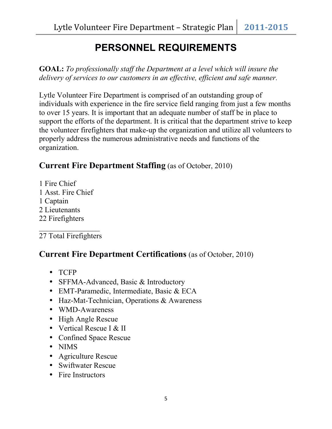# **PERSONNEL REQUIREMENTS**

**GOAL:** *To professionally staff the Department at a level which will insure the delivery of services to our customers in an effective, efficient and safe manner.*

Lytle Volunteer Fire Department is comprised of an outstanding group of individuals with experience in the fire service field ranging from just a few months to over 15 years. It is important that an adequate number of staff be in place to support the efforts of the department. It is critical that the department strive to keep the volunteer firefighters that make-up the organization and utilize all volunteers to properly address the numerous administrative needs and functions of the organization.

### **Current Fire Department Staffing** (as of October, 2010)

- 1 Fire Chief 1 Asst. Fire Chief 1 Captain 2 Lieutenants
- 22 Firefighters  $\mathcal{L}_\text{max}$

### 27 Total Firefighters

### **Current Fire Department Certifications** (as of October, 2010)

- TCFP
- SFFMA-Advanced, Basic & Introductory
- EMT-Paramedic, Intermediate, Basic & ECA
- Haz-Mat-Technician, Operations & Awareness
- WMD-Awareness
- High Angle Rescue
- Vertical Rescue I & II
- Confined Space Rescue
- NIMS
- Agriculture Rescue
- Swiftwater Rescue
- Fire Instructors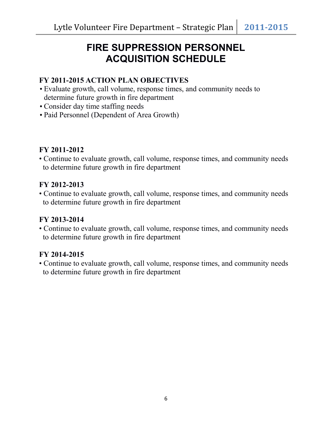### **FIRE SUPPRESSION PERSONNEL ACQUISITION SCHEDULE**

### **FY 2011-2015 ACTION PLAN OBJECTIVES**

- Evaluate growth, call volume, response times, and community needs to determine future growth in fire department
- Consider day time staffing needs
- Paid Personnel (Dependent of Area Growth)

### **FY 2011-2012**

• Continue to evaluate growth, call volume, response times, and community needs to determine future growth in fire department

### **FY 2012-2013**

• Continue to evaluate growth, call volume, response times, and community needs to determine future growth in fire department

### **FY 2013-2014**

• Continue to evaluate growth, call volume, response times, and community needs to determine future growth in fire department

### **FY 2014-2015**

• Continue to evaluate growth, call volume, response times, and community needs to determine future growth in fire department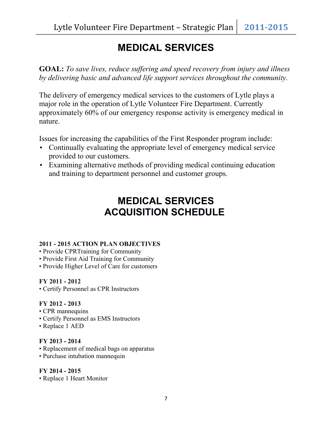### **MEDICAL SERVICES**

**GOAL:** *To save lives, reduce suffering and speed recovery from injury and illness by delivering basic and advanced life support services throughout the community.*

The delivery of emergency medical services to the customers of Lytle plays a major role in the operation of Lytle Volunteer Fire Department. Currently approximately 60% of our emergency response activity is emergency medical in nature.

Issues for increasing the capabilities of the First Responder program include:

- Continually evaluating the appropriate level of emergency medical service provided to our customers.
- Examining alternative methods of providing medical continuing education and training to department personnel and customer groups.

# **MEDICAL SERVICES ACQUISITION SCHEDULE**

### **2011 - 2015 ACTION PLAN OBJECTIVES**

- Provide CPRTraining for Community
- Provide First Aid Training for Community
- Provide Higher Level of Care for customers

### **FY 2011 - 2012**

• Certify Personnel as CPR Instructors

### **FY 2012 - 2013**

- CPR mannequins
- Certify Personnel as EMS Instructors
- Replace 1 AED

### **FY 2013 - 2014**

- Replacement of medical bags on apparatus
- Purchase intubation mannequin

### **FY 2014 - 2015**

• Replace 1 Heart Monitor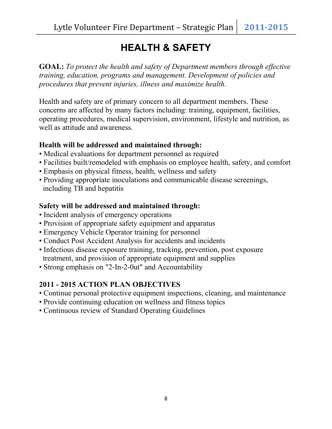# **HEALTH & SAFETY**

**GOAL:** *To protect the health and safety of Department members through effective training, education, programs and management. Development of policies and procedures that prevent injuries, illness and maximize health.*

Health and safety are of primary concern to all department members. These concerns are affected by many factors including: training, equipment, facilities, operating procedures, medical supervision, environment, lifestyle and nutrition, as well as attitude and awareness.

### **Health will be addressed and maintained through:**

- Medical evaluations for department personnel as required
- Facilities built/remodeled with emphasis on employee health, safety, and comfort
- Emphasis on physical fitness, health, wellness and safety
- Providing appropriate inoculations and communicable disease screenings, including TB and hepatitis

### **Safety will be addressed and maintained through:**

- Incident analysis of emergency operations
- Provision of appropriate safety equipment and apparatus
- Emergency Vehicle Operator training for personnel
- Conduct Post Accident Analysis for accidents and incidents
- Infectious disease exposure training, tracking, prevention, post exposure treatment, and provision of appropriate equipment and supplies
- Strong emphasis on "2-In-2-0ut" and Accountability

### **2011 - 2015 ACTION PLAN OBJECTIVES**

- Continue personal protective equipment inspections, cleaning, and maintenance
- Provide continuing education on wellness and fitness topics
- Continuous review of Standard Operating Guidelines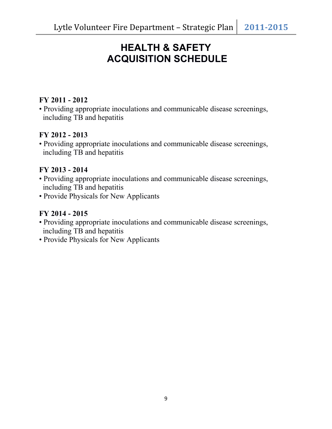### **HEALTH & SAFETY ACQUISITION SCHEDULE**

### **FY 2011 - 2012**

• Providing appropriate inoculations and communicable disease screenings, including TB and hepatitis

### **FY 2012 - 2013**

• Providing appropriate inoculations and communicable disease screenings, including TB and hepatitis

### **FY 2013 - 2014**

- Providing appropriate inoculations and communicable disease screenings, including TB and hepatitis
- Provide Physicals for New Applicants

### **FY 2014 - 2015**

- Providing appropriate inoculations and communicable disease screenings, including TB and hepatitis
- Provide Physicals for New Applicants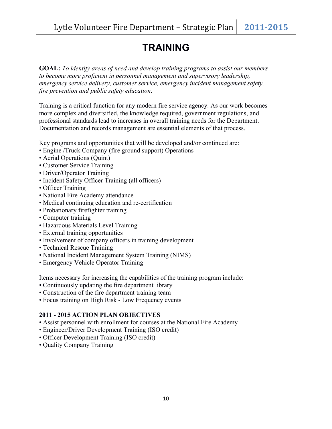# **TRAINING**

**GOAL:** *To identify areas of need and develop training programs to assist our members to become more proficient in personnel management and supervisory leadership, emergency service delivery, customer service, emergency incident management safety, fire prevention and public safety education.*

Training is a critical function for any modern fire service agency. As our work becomes more complex and diversified, the knowledge required, government regulations, and professional standards lead to increases in overall training needs for the Department. Documentation and records management are essential elements of that process.

Key programs and opportunities that will be developed and/or continued are:

- Engine /Truck Company (fire ground support) Operations
- Aerial Operations (Quint)
- Customer Service Training
- Driver/Operator Training
- Incident Safety Officer Training (all officers)
- Officer Training
- National Fire Academy attendance
- Medical continuing education and re-certification
- Probationary firefighter training
- Computer training
- Hazardous Materials Level Training
- External training opportunities
- Involvement of company officers in training development
- Technical Rescue Training
- National Incident Management System Training (NIMS)
- Emergency Vehicle Operator Training

Items necessary for increasing the capabilities of the training program include:

- Continuously updating the fire department library
- Construction of the fire department training team
- Focus training on High Risk Low Frequency events

#### **2011 - 2015 ACTION PLAN OBJECTIVES**

- Assist personnel with enrollment for courses at the National Fire Academy
- Engineer/Driver Development Training (ISO credit)
- Officer Development Training (ISO credit)
- Quality Company Training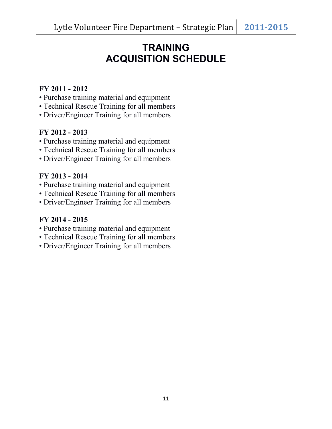### **TRAINING ACQUISITION SCHEDULE**

### **FY 2011 - 2012**

- Purchase training material and equipment
- Technical Rescue Training for all members
- Driver/Engineer Training for all members

### **FY 2012 - 2013**

- Purchase training material and equipment
- Technical Rescue Training for all members
- Driver/Engineer Training for all members

### **FY 2013 - 2014**

- Purchase training material and equipment
- Technical Rescue Training for all members
- Driver/Engineer Training for all members

### **FY 2014 - 2015**

- Purchase training material and equipment
- Technical Rescue Training for all members
- Driver/Engineer Training for all members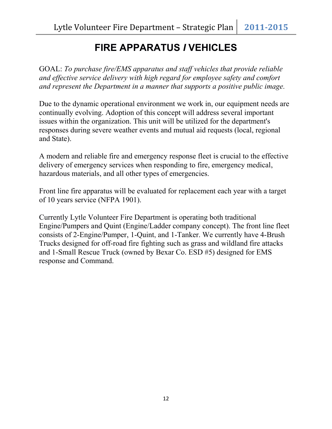# **FIRE APPARATUS** *I* **VEHICLES**

GOAL: *To purchase fire/EMS apparatus and staff vehicles that provide reliable and effective service delivery with high regard for employee safety and comfort and represent the Department in a manner that supports a positive public image.*

Due to the dynamic operational environment we work in, our equipment needs are continually evolving. Adoption of this concept will address several important issues within the organization. This unit will be utilized for the department's responses during severe weather events and mutual aid requests (local, regional and State).

A modern and reliable fire and emergency response fleet is crucial to the effective delivery of emergency services when responding to fire, emergency medical, hazardous materials, and all other types of emergencies.

Front line fire apparatus will be evaluated for replacement each year with a target of 10 years service (NFPA 1901).

Currently Lytle Volunteer Fire Department is operating both traditional Engine/Pumpers and Quint (Engine/Ladder company concept). The front line fleet consists of 2-Engine/Pumper, 1-Quint, and 1-Tanker. We currently have 4-Brush Trucks designed for off-road fire fighting such as grass and wildland fire attacks and 1-Small Rescue Truck (owned by Bexar Co. ESD #5) designed for EMS response and Command.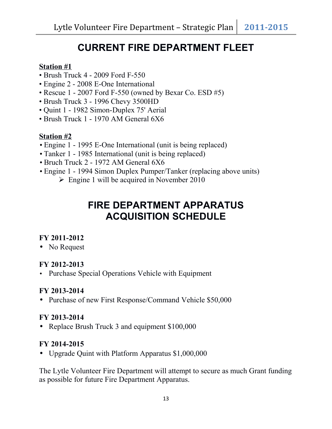### **CURRENT FIRE DEPARTMENT FLEET**

### **Station #1**

- Brush Truck 4 2009 Ford F-550
- Engine 2 2008 E-One International
- Rescue 1 2007 Ford F-550 (owned by Bexar Co. ESD #5)
- Brush Truck 3 1996 Chevy 3500HD
- Quint 1 1982 Simon-Duplex 75' Aerial
- Brush Truck 1 1970 AM General 6X6

### **Station #2**

- Engine 1 1995 E-One International (unit is being replaced)
- Tanker 1 1985 International (unit is being replaced)
- Bruch Truck 2 1972 AM General 6X6
- Engine 1 1994 Simon Duplex Pumper/Tanker (replacing above units)
	- $\triangleright$  Engine 1 will be acquired in November 2010

### **FIRE DEPARTMENT APPARATUS ACQUISITION SCHEDULE**

### **FY 2011-2012**

• No Request

### **FY 2012-2013**

• Purchase Special Operations Vehicle with Equipment

### **FY 2013-2014**

• Purchase of new First Response/Command Vehicle \$50,000

### **FY 2013-2014**

• Replace Brush Truck 3 and equipment \$100,000

### **FY 2014-2015**

• Upgrade Quint with Platform Apparatus \$1,000,000

The Lytle Volunteer Fire Department will attempt to secure as much Grant funding as possible for future Fire Department Apparatus.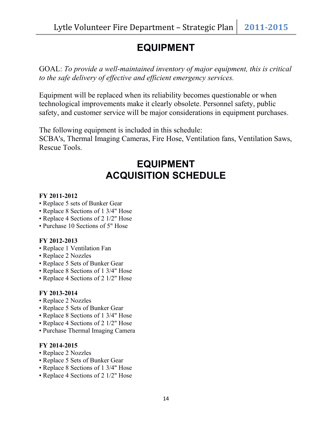# **EQUIPMENT**

GOAL: *To provide a well-maintained inventory of major equipment, this is critical to the safe delivery of effective and efficient emergency services.*

Equipment will be replaced when its reliability becomes questionable or when technological improvements make it clearly obsolete. Personnel safety, public safety, and customer service will be major considerations in equipment purchases.

The following equipment is included in this schedule:

SCBA's, Thermal Imaging Cameras, Fire Hose, Ventilation fans, Ventilation Saws, Rescue Tools.

### **EQUIPMENT ACQUISITION SCHEDULE**

#### **FY 2011-2012**

- Replace 5 sets of Bunker Gear
- Replace 8 Sections of 1 3/4" Hose
- Replace 4 Sections of 2 1/2" Hose
- Purchase 10 Sections of 5" Hose

### **FY 2012-2013**

- Replace 1 Ventilation Fan
- Replace 2 Nozzles
- Replace 5 Sets of Bunker Gear
- Replace 8 Sections of 1 3/4" Hose
- Replace 4 Sections of 2 1/2" Hose

### **FY 2013-2014**

- Replace 2 Nozzles
- Replace 5 Sets of Bunker Gear
- Replace 8 Sections of 1 3/4" Hose
- Replace 4 Sections of 2 1/2" Hose
- Purchase Thermal Imaging Camera

### **FY 2014-2015**

- Replace 2 Nozzles
- Replace 5 Sets of Bunker Gear
- Replace 8 Sections of 1 3/4" Hose
- Replace 4 Sections of 2 1/2" Hose